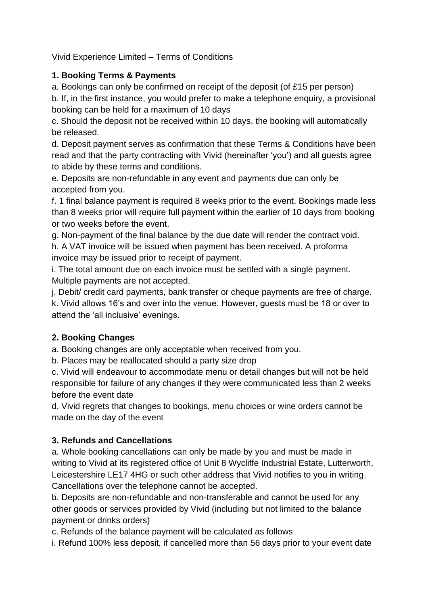Vivid Experience Limited – Terms of Conditions

## **1. Booking Terms & Payments**

a. Bookings can only be confirmed on receipt of the deposit (of £15 per person)

b. If, in the first instance, you would prefer to make a telephone enquiry, a provisional booking can be held for a maximum of 10 days

c. Should the deposit not be received within 10 days, the booking will automatically be released.

d. Deposit payment serves as confirmation that these Terms & Conditions have been read and that the party contracting with Vivid (hereinafter 'you') and all guests agree to abide by these terms and conditions.

e. Deposits are non-refundable in any event and payments due can only be accepted from you.

f. 1 final balance payment is required 8 weeks prior to the event. Bookings made less than 8 weeks prior will require full payment within the earlier of 10 days from booking or two weeks before the event.

g. Non-payment of the final balance by the due date will render the contract void.

h. A VAT invoice will be issued when payment has been received. A proforma invoice may be issued prior to receipt of payment.

i. The total amount due on each invoice must be settled with a single payment. Multiple payments are not accepted.

j. Debit/ credit card payments, bank transfer or cheque payments are free of charge.

k. Vivid allows 16's and over into the venue. However, guests must be 18 or over to attend the 'all inclusive' evenings.

# **2. Booking Changes**

a. Booking changes are only acceptable when received from you.

b. Places may be reallocated should a party size drop

c. Vivid will endeavour to accommodate menu or detail changes but will not be held responsible for failure of any changes if they were communicated less than 2 weeks before the event date

d. Vivid regrets that changes to bookings, menu choices or wine orders cannot be made on the day of the event

# **3. Refunds and Cancellations**

a. Whole booking cancellations can only be made by you and must be made in writing to Vivid at its registered office of Unit 8 Wycliffe Industrial Estate, Lutterworth, Leicestershire LE17 4HG or such other address that Vivid notifies to you in writing. Cancellations over the telephone cannot be accepted.

b. Deposits are non-refundable and non-transferable and cannot be used for any other goods or services provided by Vivid (including but not limited to the balance payment or drinks orders)

c. Refunds of the balance payment will be calculated as follows

i. Refund 100% less deposit, if cancelled more than 56 days prior to your event date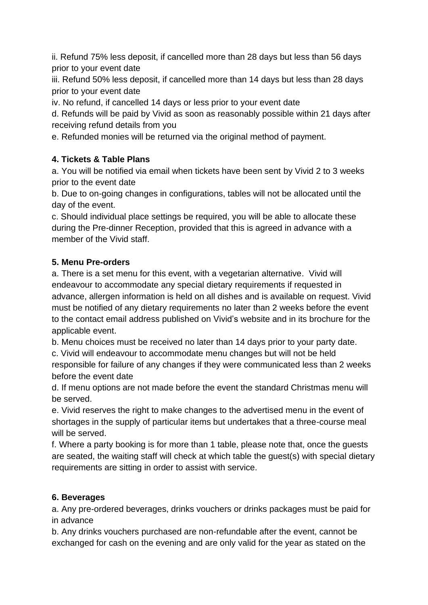ii. Refund 75% less deposit, if cancelled more than 28 days but less than 56 days prior to your event date

iii. Refund 50% less deposit, if cancelled more than 14 days but less than 28 days prior to your event date

iv. No refund, if cancelled 14 days or less prior to your event date

d. Refunds will be paid by Vivid as soon as reasonably possible within 21 days after receiving refund details from you

e. Refunded monies will be returned via the original method of payment.

### **4. Tickets & Table Plans**

a. You will be notified via email when tickets have been sent by Vivid 2 to 3 weeks prior to the event date

b. Due to on-going changes in configurations, tables will not be allocated until the day of the event.

c. Should individual place settings be required, you will be able to allocate these during the Pre-dinner Reception, provided that this is agreed in advance with a member of the Vivid staff.

### **5. Menu Pre-orders**

a. There is a set menu for this event, with a vegetarian alternative. Vivid will endeavour to accommodate any special dietary requirements if requested in advance, allergen information is held on all dishes and is available on request. Vivid must be notified of any dietary requirements no later than 2 weeks before the event to the contact email address published on Vivid's website and in its brochure for the applicable event.

b. Menu choices must be received no later than 14 days prior to your party date.

c. Vivid will endeavour to accommodate menu changes but will not be held responsible for failure of any changes if they were communicated less than 2 weeks before the event date

d. If menu options are not made before the event the standard Christmas menu will be served.

e. Vivid reserves the right to make changes to the advertised menu in the event of shortages in the supply of particular items but undertakes that a three-course meal will be served.

f. Where a party booking is for more than 1 table, please note that, once the guests are seated, the waiting staff will check at which table the guest(s) with special dietary requirements are sitting in order to assist with service.

### **6. Beverages**

a. Any pre-ordered beverages, drinks vouchers or drinks packages must be paid for in advance

b. Any drinks vouchers purchased are non-refundable after the event, cannot be exchanged for cash on the evening and are only valid for the year as stated on the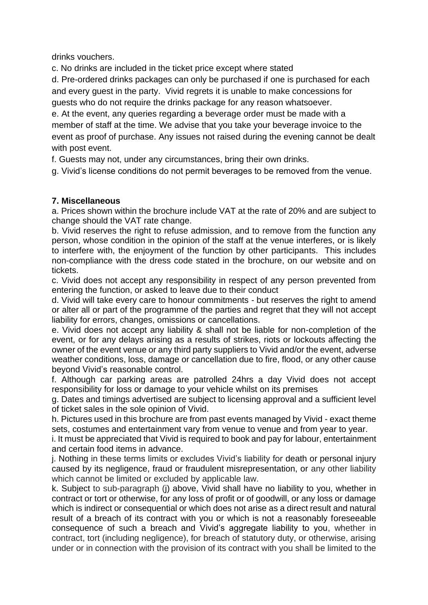drinks vouchers.

c. No drinks are included in the ticket price except where stated

d. Pre-ordered drinks packages can only be purchased if one is purchased for each and every guest in the party. Vivid regrets it is unable to make concessions for guests who do not require the drinks package for any reason whatsoever.

e. At the event, any queries regarding a beverage order must be made with a member of staff at the time. We advise that you take your beverage invoice to the event as proof of purchase. Any issues not raised during the evening cannot be dealt with post event.

f. Guests may not, under any circumstances, bring their own drinks.

g. Vivid's license conditions do not permit beverages to be removed from the venue.

#### **7. Miscellaneous**

a. Prices shown within the brochure include VAT at the rate of 20% and are subject to change should the VAT rate change.

b. Vivid reserves the right to refuse admission, and to remove from the function any person, whose condition in the opinion of the staff at the venue interferes, or is likely to interfere with, the enjoyment of the function by other participants. This includes non-compliance with the dress code stated in the brochure, on our website and on tickets.

c. Vivid does not accept any responsibility in respect of any person prevented from entering the function, or asked to leave due to their conduct

d. Vivid will take every care to honour commitments - but reserves the right to amend or alter all or part of the programme of the parties and regret that they will not accept liability for errors, changes, omissions or cancellations.

e. Vivid does not accept any liability & shall not be liable for non-completion of the event, or for any delays arising as a results of strikes, riots or lockouts affecting the owner of the event venue or any third party suppliers to Vivid and/or the event, adverse weather conditions, loss, damage or cancellation due to fire, flood, or any other cause beyond Vivid's reasonable control.

f. Although car parking areas are patrolled 24hrs a day Vivid does not accept responsibility for loss or damage to your vehicle whilst on its premises

g. Dates and timings advertised are subject to licensing approval and a sufficient level of ticket sales in the sole opinion of Vivid.

h. Pictures used in this brochure are from past events managed by Vivid - exact theme sets, costumes and entertainment vary from venue to venue and from year to year.

i. It must be appreciated that Vivid is required to book and pay for labour, entertainment and certain food items in advance.

j. Nothing in these terms limits or excludes Vivid's liability for death or personal injury caused by its negligence, fraud or fraudulent misrepresentation, or any other liability which cannot be limited or excluded by applicable law.

k. Subject to sub-paragraph (j) above, Vivid shall have no liability to you, whether in contract or tort or otherwise, for any loss of profit or of goodwill, or any loss or damage which is indirect or consequential or which does not arise as a direct result and natural result of a breach of its contract with you or which is not a reasonably foreseeable consequence of such a breach and Vivid's aggregate liability to you, whether in contract, tort (including negligence), for breach of statutory duty, or otherwise, arising under or in connection with the provision of its contract with you shall be limited to the